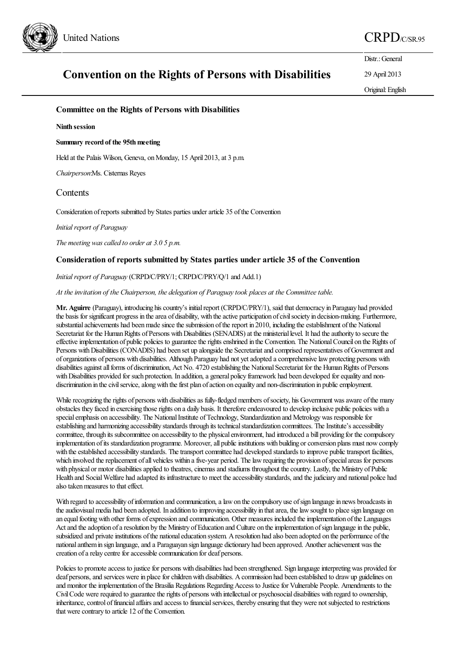

Distr.: General 29 April 2013

# **Convention on the Rights of Persons with Disabilities**

Original:English

## **Committee on the Rights of Persons with Disabilities**

#### **Ninth session**

#### **Summary record of the 95thmeeting**

Held at the Palais Wilson, Geneva, on Monday, 15 April 2013, at 3 p.m.

*Chairperson*:Ms. Cisternas Reyes

## **Contents**

Consideration of reports submitted by States parties under article 35 of the Convention

*Initial report of Paraguay* 

*The meeting wascalled to order at 3.0 5 p.m.*

## **Consideration of reports submitted by States parties under article 35 of the Convention**

#### *Initial report of Paraguay* (CRPD/C/PRY/1; CRPD/C/PRY/Q/1 and Add.1)

*At theinvitation of the Chairperson, the delegation of Paraguaytook places at the Committeetable.*

**Mr. Aguirre** (Paraguay), introducing hiscountry's initialreport (CRPD/C/PRY/1), said that democracy in Paraguay had provided the basis for significant progress in the area of disability, with the active participation of civil society in decision-making. Furthermore, substantial achievements had been made since the submission of the report in 2010, including the establishment of the National Secretariat for the Human Rights of Persons with Disabilities (SENADIS) at the ministerial level. It had the authority to secure the effective implementation of public policies to guarantee the rights enshrined in the Convention. The National Council on the Rights of Persons with Disabilities (CONADIS) had been set up alongside the Secretariat and comprised representatives of Government and of organizations of persons with disabilities. Although Paraguay had not yetadopted acomprehensivelawprotecting persons with disabilities against all forms of discrimination, Act No. 4720 establishing the National Secretariat for the Human Rights of Persons with Disabilities provided for such protection. In addition, a general policy framework had been developed for equality and nondiscrimination in the civil service, along with the first plan of action on equality and non-discrimination in public employment.

While recognizing the rights of persons with disabilities as fully-fledged members of society, his Government was aware of the many obstacles they faced in exercising thoserights on a daily basis. It thereforeendeavoured to develop inclusive public policies with a special emphasis on accessibility. The National Institute of Technology, Standardization and Metrology was responsible for establishing and harmonizing accessibility standards through its technical standardization committees. The Institute's accessibility committee, through its subcommittee on accessibility to the physical environment, had introduced a bill providing for the compulsory implementation ofits standardization programme. Moreover,all publicinstitutions with building orconversion plans must nowcomply with the established accessibility standards. The transport committee had developed standards to improve public transport facilities, which involved the replacement of all vehicles within a five-year period. The law requiring the provision of special areas for persons with physical or motor disabilities applied to theatres, cinemas and stadiums throughout the country. Lastly, the Ministry of Public Health and Social Welfare had adapted its infrastructure to meet the accessibility standards, and the judiciary and national police had also taken measures to that effect.

With regard to accessibility of information and communication, a law on the compulsory use of sign language in news broadcasts in the audiovisual media had been adopted. In addition to improving accessibility in that area, the law sought to place sign language on an equal footing with other forms of expression and communication. Other measures included the implementation of the Languages Act and the adoption of a resolution by the Ministry of Education and Culture on the implementation of sign language in the public, subsidized and private institutions of the national education system. A resolution had also been adopted on the performance of the national anthem in sign language, and a Paraguayan sign language dictionary had been approved. Another achievement was the creation of a relay centre for accessible communication for deaf persons.

Policies to promote access to justice for persons with disabilities had been strengthened. Sign language interpreting was provided for deaf persons, and services were in place for children with disabilities. A commission had been established to draw up guidelines on and monitor the implementation of the Brasilia Regulations Regarding Access to Justice for Vulnerable People. Amendments to the Civil Code were required to guarantee the rights of persons with intellectual or psychosocial disabilities with regard to ownership, inheritance, control of financial affairs and access to financial services, thereby ensuring that they were not subjected to restrictions that were contrary to article 12 of the Convention.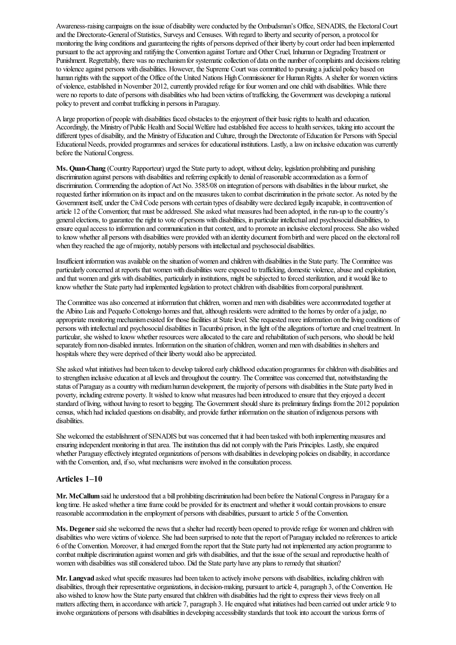Awareness-raising campaigns on theissue of disabilitywereconducted by the Ombudsman's Office, SENADIS, the ElectoralCourt and the Directorate-General of Statistics, Surveys and Censuses. With regard to liberty and security of person, a protocol for monitoring the living conditions and guaranteeing the rights of persons deprived of their liberty by court order had been implemented pursuant to the act approving and ratifying the Convention against Torture and Other Cruel, Inhuman or Degrading Treatment or Punishment. Regrettably, there was no mechanism for systematic collection of data on the number of complaints and decisions relating to violence against persons with disabilities. However, the Supreme Court was committed to pursuing a judicial policy based on human rights with the support of the Office of the United Nations High Commissioner for Human Rights. A shelter for women victims of violence, established in November 2012, currently provided refuge for four women and one child with disabilities. While there were no reports to date of persons with disabilities who had been victims oftrafficking, the Government was developing a national policy to preventand combat trafficking in persons in Paraguay.

Alarge proportion of people with disabilities faced obstacles to theenjoyment oftheir basicrights to health and education. Accordingly, the Ministry of Public Health and Social Welfare had established free access to health services, taking into account the different types of disability, and the Ministry of Education and Culture, through the Directorate of Education for Persons with Special Educational Needs, provided programmes and services for educational institutions. Lastly, a law on inclusive education was currently before the National Congress.

**Ms. Quan-Chang** (Country Rapporteur) urged the State party to adopt, without delay, legislation prohibiting and punishing discrimination against persons with disabilities and referring explicitly to denial of reasonable accommodation as a form of discrimination. Commending the adoption of Act No. 3585/08 on integration of persons with disabilities in the labour market, she requested further information on its impactand on the measures taken to combat discrimination in the privatesector. As noted by the Government itself, under the Civil Code persons with certain types of disability were declared legally incapable, in contravention of article 12 of the Convention; that must be addressed. She asked what measures had been adopted, in the run-up to the country's general elections, to guarantee the right to vote of persons with disabilities, in particular intellectual and psychosocial disabilities, to ensure equal access to information and communication in that context, and to promote an inclusive electoral process. She also wished to know whether all persons with disabilities were provided with an identity document from birth and were placed on the electoral roll when they reached the age of majority, notably persons with intellectual and psychosocial disabilities.

Insufficient information was available on the situation of women and children with disabilities in the State party. The Committee was particularly concerned at reports that women with disabilities were exposed to trafficking, domestic violence, abuse and exploitation, and that women and girls with disabilities, particularly in institutions, might be subjected to forced sterilization, and it would like to know whether the State party had implemented legislation to protect children with disabilities from corporal punishment.

The Committee was also concerned at information that children, women and men with disabilities were accommodated together at the Albino Luis and Pequeño Cottolengo homes and that, although residents were admitted to the homes by order of a judge, no appropriate monitoring mechanism existed for those facilities at State level. She requested more information on the living conditions of persons with intellectual and psychosocial disabilities in Tacumbú prison, in the light of the allegations of torture and cruel treatment. In particular, she wished to know whether resources were allocated to the care and rehabilitation of such persons, who should be held separately from non-disabled inmates. Information on the situation of children, women and men with disabilities in shelters and hospitals where they were deprived of their liberty would also be appreciated.

She asked what initiatives had been taken to develop tailored early childhood education programmes for children with disabilities and to strengthen inclusive education at all levels and throughout the country. The Committee was concerned that, notwithstanding the status of Paraguay as a country with medium human development, the majority of persons with disabilities in the State party lived in poverty, including extreme poverty. It wished to know what measures had been introduced to ensure that they enjoyed a decent standard of living, without having to resort to begging. The Government should share its preliminary findings from the 2012 population census, which had included questions on disability, and provide further information on the situation of indigenous persons with disabilities.

She welcomed the establishment of SENADIS but was concerned that it had been tasked with both implementing measures and ensuring independent monitoring in that area. The institution thus did not comply with the Paris Principles. Lastly, she enquired whether Paraguay effectively integrated organizations of persons with disabilities in developing policies on disability, in accordance with the Convention, and, if so, what mechanisms were involved in the consultation process.

#### **Articles 1–10**

**Mr. McCallum** said he understood that a bill prohibiting discrimination had been before the National Congress in Paraguay for a long time. He asked whether a time frame could be provided for its enactment and whether it would contain provisions to ensure reasonable accommodation in the employment of persons with disabilities, pursuant to article 5 of the Convention.

Ms. Degener said she welcomed the news that a shelter had recently been opened to provide refuge for women and children with disabilities who were victims of violence. She had been surprised to note that the report of Paraguay included no references to article 6 ofthe Convention. Moreover, it had emerged fromthereport that the State party had not implemented any action programmeto combat multiple discrimination against women and girls with disabilities, and that the issue of the sexual and reproductive health of women with disabilities was still considered taboo. Did the State party have any plans to remedy that situation?

**Mr. Langvad** asked what specific measures had been taken to actively involve persons with disabilities, including children with disabilities, through their representative organizations, in decision-making, pursuant to article 4, paragraph 3, ofthe Convention. He also wished to know how the State party ensured that children with disabilities had the right to express their views freely on all matters affecting them, in accordance with article 7, paragraph 3. He enquired what initiatives had been carried out under article 9 to involve organizations of persons with disabilities in developing accessibility standards that took into account the various forms of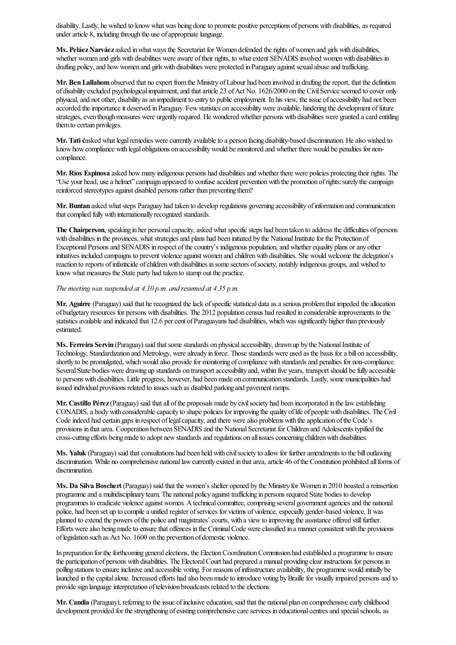disability. Lastly, he wished to know what was being done to promote positive perceptions of persons with disabilities, as required under article 8, including through the use of appropriate language.

**Ms. PeláezNarváez**asked inwhat ways the Secretariat for Women defended therights ofwomen and girls with disabilities, whether women and girls with disabilities were aware of their rights, to what extent SENADIS involved women with disabilities in drafting policy, and how women and girls with disabilities were protected in Paraguay against sexual abuse and trafficking.

**Mr. Ben Lallahom** observed that no expert from the Ministry of Labour had been involved in drafting the report, that the definition of disability excluded psychological impairment, and that article 23 of Act No. 1626/2000 on the Civil Service seemed to cover only physical, and not other, disability as an impediment to entry to public employment. In his view, the issue of accessibility had not been accorded the importance it deserved in Paraguay. Few statistics on accessibility were available, hindering the development of future strategies, even though measures were urgently required. He wondered whether persons with disabilities were granted a card entitling themto certain privileges.

**Mr. Tatić**asked what legalremedies werecurrently availableto a person facing disability-based discrimination. Healso wished to know how compliance with legal obligations on accessibility would be monitored and whether there would be penalties for noncompliance.

**Mr. Ríos Espinosa** asked howmany indigenous persons had disabilitiesand whether there were policies protecting their rights. The "Use your head, usea helmet"campaign appeared to confuseaccident preventionwith the promotion ofrights:surely thecampaign reinforced stereotypes against disabled persons rather than preventing them?

**Mr. Buntan** asked what steps Paraguay had taken to develop regulations governing accessibility of information and communication that complied fully with internationally recognized standards.

The Chairperson, speaking in her personal capacity, asked what specific steps had been taken to address the difficulties of persons with disabilities in the provinces, what strategies and plans had been initiated by the National Institute for the Protection of Exceptional Persons and SENADIS in respect of the country's indigenous population, and whether equality plans or any other initiatives included campaigns to prevent violence against women and children with disabilities. She would welcome the delegation's reaction to reports of infanticide of children with disabilities in some sectors of society, notably indigenous groups, and wished to know what measures the State party had taken to stamp out the practice.

### *The meeting was suspended at 4.10 p.m. and resumed at 4.35 p.m.*

**Mr.** Aguirre (Paraguay) said that he recognized the lack of specific statistical data as a serious problem that impeded the allocation of budgetary resources for persons with disabilities. The 2012 population census had resulted in considerableimprovements to the statistics available and indicated that 12.6 per cent of Paraguayans had disabilities, which was significantly higher than previously estimated.

**Ms. Ferreira Servín** (Paraguay) said that some standards on physical accessibility, drawn up by the National Institute of Technology, Standardization and Metrology, were already in force. Those standards were used as the basis for a bill on accessibility, shortly to be promulgated, which would also provide for monitoring of compliance with standards and penalties for non-compliance. Several State bodies were drawing up standards on transport accessibility and, within five years, transport should be fully accessible to persons with disabilities. Little progress, however, had beenmade on communication standards. Lastly, some municipalities had issued individual provisions related to issues such as disabled parking and pavement ramps.

**Mr. Castillo Pérez**(Paraguay) said thatall ofthe proposals made by civilsociety had been incorporated in thelawestablishing CONADIS, a body with considerable capacity to shape policies for improving the quality of life of people with disabilities. The Civil Code indeed had certain gaps in respect of legal capacity, and there were also problems with the application of the Code's provisions in that area. Cooperation between SENADIS and the National Secretariat for Children and Adolescents typified the cross-cutting efforts being made to adopt new standards and regulations on all issues concerning children with disabilities.

**Ms. Yaluk** (Paraguay) said that consultations had been held with civil society to allow for further amendments to the bill outlawing discrimination. While no comprehensive national law currently existed in that area, article 46 of the Constitution prohibited all forms of discrimination.

**Ms. Da Silva Boschert** (Paraguay) said that the women's shelter opened by the Ministry for Women in 2010 boasted areinsertion programmeand a multidisciplinary team. The national policy against trafficking in persons required State bodies to develop programmes to eradicate violence against women. A technical committee, comprising several government agencies and the national police, had been set up to compile a unified register of services for victims of violence, especially gender-based violence. It was planned to extend the powers ofthe policeand magistrates'courts, with a viewto improving theassistance offered stillfurther. Efforts were also being made to ensure that offences in the Criminal Code were classified in a manner consistent with the provisions of legislation such as Act No. 1600 on the prevention of domestic violence.

In preparation for the forthcoming general elections, the Election Coordination Commission had established a programme to ensure the participation of persons with disabilities. The ElectoralCourt had prepared a manual providing clear instructions for persons in polling stations to ensure inclusive and accessible voting. For reasons of infrastructure availability, the programme would initially be launched in the capital alone. Increased efforts had also been made to introduce voting by Braille for visually impaired persons and to provide sign language interpretation of television broadcasts related to the elections.

**Mr. Candia** (Paraguay), referring to the issue of inclusive education, said that the national plan on comprehensive early childhood development provided for the strengthening of existing comprehensive care services in educational centres and special schools, as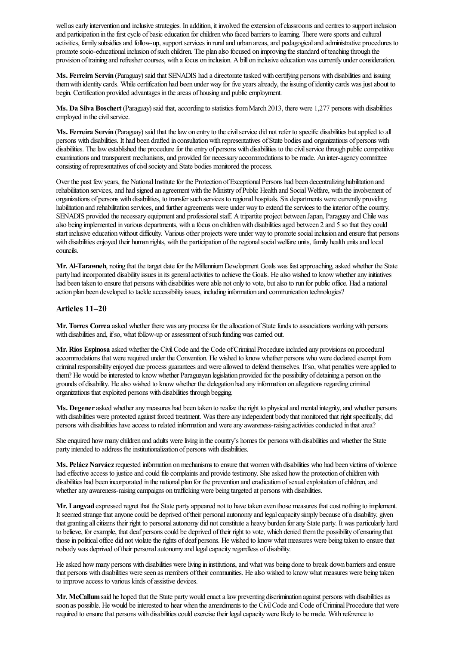well as early intervention and inclusive strategies. In addition, it involved the extension of classrooms and centres to support inclusion and participation in the first cycle of basic education for children who faced barriers to learning. There were sports and cultural activities, family subsidies and follow-up, support services in rural and urban areas, and pedagogical and administrative procedures to promote socio-educational inclusion of such children. The plan also focused on improving the standard of teaching through the provision of training and refresher courses, with a focus on inclusion. A bill on inclusive education was currently under consideration.

Ms. Ferreira Servín (Paraguay) said that SENADIS had a directorate tasked with certifying persons with disabilities and issuing them with identity cards. While certification had been under way for five years already, the issuing of identity cards was just about to begin. Certification provided advantages in the areas of housing and public employment.

**Ms. Da Silva Boschert** (Paraguay) said that, according to statistics from March 2013, there were 1,277 persons with disabilities employed in the civil service.

Ms. Ferreira Servín (Paraguay) said that the law on entry to the civil service did not refer to specific disabilities but applied to all persons with disabilities. It had been drafted in consultationwith representatives ofState bodiesand organizations of persons with disabilities. The law established the procedure for the entry of persons with disabilities to the civil service through public competitive examinations and transparent mechanisms, and provided for necessary accommodations to be made. An inter-agency committee consisting of representatives of civil society and State bodies monitored the process.

Over the past few years, the National Institute for the Protection of Exceptional Persons had been decentralizing habilitation and rehabilitation services, and had signed an agreement with the Ministry of Public Health and Social Welfare, with the involvement of organizations of persons with disabilities, to transfer such services to regional hospitals. Six departments were currently providing habilitation and rehabilitation services, and further agreements were under way to extend the services to the interior of the country. SENADIS provided the necessary equipment and professional staff. A tripartite project between Japan, Paraguay and Chile was also being implemented in various departments, with a focus on children with disabilities aged between 2 and 5 so that they could start inclusive education without difficulty. Various other projects were under way to promote social inclusion and ensure that persons with disabilities enjoyed their human rights, with the participation of the regional social welfare units, family health units and local councils.

Mr. Al-Tarawneh, noting that the target date for the Millennium Development Goals was fast approaching, asked whether the State party had incorporated disability issues in its general activities to achieve the Goals. He also wished to know whether any initiatives had been taken to ensure that persons with disabilities were able not only to vote, but also to run for public office. Had a national action plan been developed to tackle accessibility issues, including information and communication technologies?

## **Articles 11–20**

**Mr. Torres Correa** asked whether there was any process for the allocation of State funds to associations working with persons with disabilities and, if so, what follow-up or assessment of such funding was carried out.

**Mr. Ríos Espinosa** asked whether the Civil Code and the Code of Criminal Procedure included any provisions on procedural accommodations that were required under the Convention. He wished to know whether persons who were declared exempt from criminalresponsibility enjoyed due process guaranteesand wereallowed to defend themselves. Ifso, what penalties wereapplied to them? He would be interested to know whether Paraguayan legislation provided for the possibility of detaining a person on the grounds of disability. Healso wished to knowwhether the delegation had any information on allegations regarding criminal organizations that exploited persons with disabilities through begging.

**Ms. Degener** asked whether any measures had been taken to realize the right to physical and mental integrity, and whether persons with disabilities were protected against forced treatment. Was there any independent body that monitored that right specifically, did persons with disabilities have access to related information and were any awareness-raising activities conducted in that area?

She enquired how many children and adults were living in the country's homes for persons with disabilities and whether the State party intended to address the institutionalization of persons with disabilities.

Ms. Peláez Narváez requested information on mechanisms to ensure that women with disabilities who had been victims of violence had effective access to justice and could file complaints and provide testimony. She asked how the protection of children with disabilities had been incorporated in the national plan for the prevention and eradication of sexual exploitation of children, and whether any awareness-raising campaigns on trafficking were being targeted at persons with disabilities.

Mr. Langvad expressed regret that the State party appeared not to have taken even those measures that cost nothing to implement. It seemed strange that anyone could be deprived of their personal autonomy and legal capacity simply because of a disability, given that granting all citizens their right to personal autonomy did not constitute a heavy burden for any State party. It was particularly hard to believe, for example, that deaf persons could be deprived of their right to vote, which denied them the possibility of ensuring that those in political office did not violate the rights of deaf persons. He wished to know what measures were being taken to ensure that nobody was deprived of their personal autonomy and legal capacity regardless of disability.

He asked how many persons with disabilities were living in institutions, and what was being done to break down barriers and ensure that persons with disabilities were seen as members of their communities. He also wished to know what measures were being taken to improve access to various kinds of assistive devices.

**Mr. McCallum** said he hoped that the State party would enact a law preventing discrimination against persons with disabilities as soon as possible. He would be interested to hear when the amendments to the Civil Code and Code of Criminal Procedure that were required to ensure that persons with disabilities could exercise their legal capacity were likely to be made. With reference to